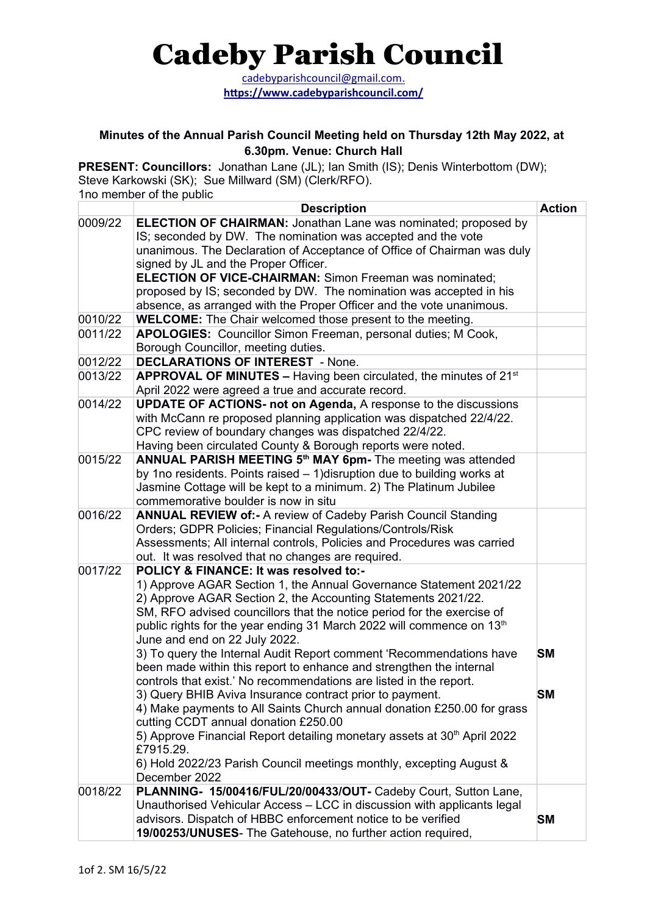## Cadeby Parish Council

 [cadebyparishcouncil@gmail.com .](mailto:cadebyparishcouncil@gmail.com) https://www.cadebyparishcouncil.com/

## **Minutes of the Annual Parish Council Meeting held on Thursday 12th May 2022, at 6.30pm. Venue: Church Hall**

**PRESENT: Councillors:** Jonathan Lane (JL); Ian Smith (IS); Denis Winterbottom (DW); Steve Karkowski (SK); Sue Millward (SM) (Clerk/RFO). 1no member of the public

|         | <b>Description</b>                                                                   | <b>Action</b> |
|---------|--------------------------------------------------------------------------------------|---------------|
| 0009/22 | <b>ELECTION OF CHAIRMAN:</b> Jonathan Lane was nominated; proposed by                |               |
|         | IS; seconded by DW. The nomination was accepted and the vote                         |               |
|         | unanimous. The Declaration of Acceptance of Office of Chairman was duly              |               |
|         | signed by JL and the Proper Officer.                                                 |               |
|         | <b>ELECTION OF VICE-CHAIRMAN: Simon Freeman was nominated;</b>                       |               |
|         | proposed by IS; seconded by DW. The nomination was accepted in his                   |               |
|         | absence, as arranged with the Proper Officer and the vote unanimous.                 |               |
| 0010/22 | <b>WELCOME:</b> The Chair welcomed those present to the meeting.                     |               |
| 0011/22 | APOLOGIES: Councillor Simon Freeman, personal duties; M Cook,                        |               |
|         | Borough Councillor, meeting duties.                                                  |               |
| 0012/22 | <b>DECLARATIONS OF INTEREST - None.</b>                                              |               |
| 0013/22 | <b>APPROVAL OF MINUTES - Having been circulated, the minutes of 21st</b>             |               |
|         | April 2022 were agreed a true and accurate record.                                   |               |
| 0014/22 | <b>UPDATE OF ACTIONS- not on Agenda, A response to the discussions</b>               |               |
|         | with McCann re proposed planning application was dispatched 22/4/22.                 |               |
|         | CPC review of boundary changes was dispatched 22/4/22.                               |               |
|         | Having been circulated County & Borough reports were noted.                          |               |
| 0015/22 | ANNUAL PARISH MEETING 5 <sup>th</sup> MAY 6pm- The meeting was attended              |               |
|         | by 1no residents. Points raised - 1) disruption due to building works at             |               |
|         | Jasmine Cottage will be kept to a minimum. 2) The Platinum Jubilee                   |               |
|         | commemorative boulder is now in situ                                                 |               |
| 0016/22 | <b>ANNUAL REVIEW of:- A review of Cadeby Parish Council Standing</b>                 |               |
|         | Orders; GDPR Policies; Financial Regulations/Controls/Risk                           |               |
|         | Assessments; All internal controls, Policies and Procedures was carried              |               |
|         | out. It was resolved that no changes are required.                                   |               |
| 0017/22 | POLICY & FINANCE: It was resolved to:-                                               |               |
|         | 1) Approve AGAR Section 1, the Annual Governance Statement 2021/22                   |               |
|         | 2) Approve AGAR Section 2, the Accounting Statements 2021/22.                        |               |
|         | SM, RFO advised councillors that the notice period for the exercise of               |               |
|         | public rights for the year ending 31 March 2022 will commence on 13 <sup>th</sup>    |               |
|         | June and end on 22 July 2022.                                                        |               |
|         | 3) To query the Internal Audit Report comment 'Recommendations have                  | <b>SM</b>     |
|         | been made within this report to enhance and strengthen the internal                  |               |
|         | controls that exist.' No recommendations are listed in the report.                   |               |
|         | 3) Query BHIB Aviva Insurance contract prior to payment.                             | <b>SM</b>     |
|         | 4) Make payments to All Saints Church annual donation £250.00 for grass              |               |
|         | cutting CCDT annual donation £250.00                                                 |               |
|         | 5) Approve Financial Report detailing monetary assets at 30 <sup>th</sup> April 2022 |               |
|         | £7915.29.                                                                            |               |
|         | 6) Hold 2022/23 Parish Council meetings monthly, excepting August &                  |               |
|         | December 2022                                                                        |               |
| 0018/22 | PLANNING- 15/00416/FUL/20/00433/OUT- Cadeby Court, Sutton Lane,                      |               |
|         | Unauthorised Vehicular Access - LCC in discussion with applicants legal              |               |
|         | advisors. Dispatch of HBBC enforcement notice to be verified                         | <b>SM</b>     |
|         | 19/00253/UNUSES- The Gatehouse, no further action required,                          |               |